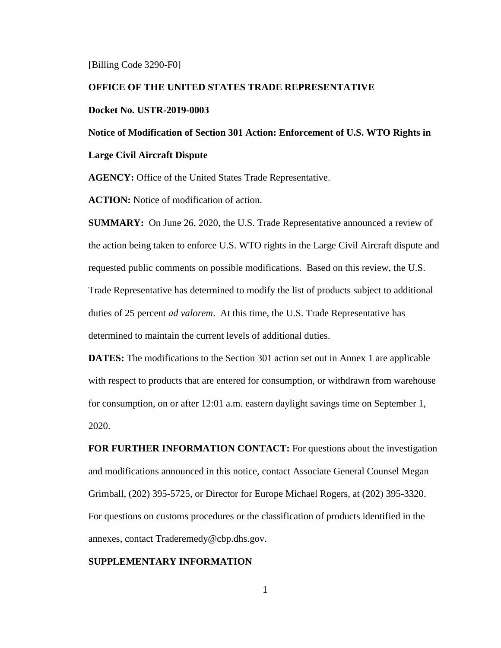[Billing Code 3290-F0]

### **OFFICE OF THE UNITED STATES TRADE REPRESENTATIVE**

### **Docket No. USTR-2019-0003**

**Notice of Modification of Section 301 Action: Enforcement of U.S. WTO Rights in** 

### **Large Civil Aircraft Dispute**

**AGENCY:** Office of the United States Trade Representative.

**ACTION:** Notice of modification of action.

**SUMMARY:** On June 26, 2020, the U.S. Trade Representative announced a review of the action being taken to enforce U.S. WTO rights in the Large Civil Aircraft dispute and requested public comments on possible modifications. Based on this review, the U.S. Trade Representative has determined to modify the list of products subject to additional duties of 25 percent *ad valorem*. At this time, the U.S. Trade Representative has determined to maintain the current levels of additional duties.

**DATES:** The modifications to the Section 301 action set out in Annex 1 are applicable with respect to products that are entered for consumption, or withdrawn from warehouse for consumption, on or after 12:01 a.m. eastern daylight savings time on September 1, 2020.

**FOR FURTHER INFORMATION CONTACT:** For questions about the investigation and modifications announced in this notice, contact Associate General Counsel Megan Grimball, (202) 395-5725, or Director for Europe Michael Rogers, at (202) 395-3320. For questions on customs procedures or the classification of products identified in the annexes, contact Traderemedy@cbp.dhs.gov.

## **SUPPLEMENTARY INFORMATION**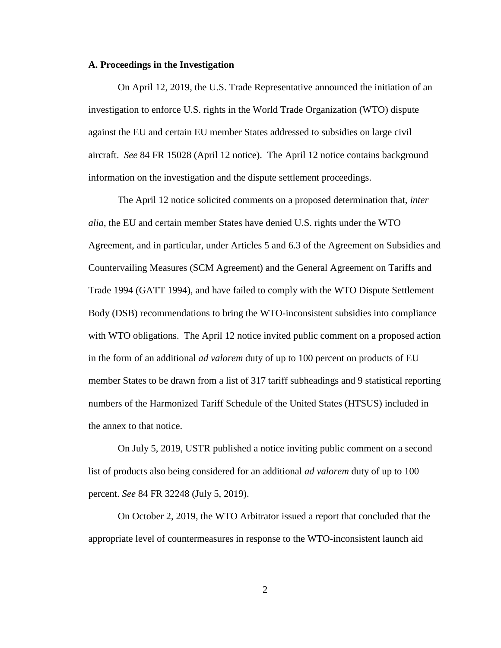#### **A. Proceedings in the Investigation**

On April 12, 2019, the U.S. Trade Representative announced the initiation of an investigation to enforce U.S. rights in the World Trade Organization (WTO) dispute against the EU and certain EU member States addressed to subsidies on large civil aircraft. *See* 84 FR 15028 (April 12 notice). The April 12 notice contains background information on the investigation and the dispute settlement proceedings.

The April 12 notice solicited comments on a proposed determination that, *inter alia*, the EU and certain member States have denied U.S. rights under the WTO Agreement, and in particular, under Articles 5 and 6.3 of the Agreement on Subsidies and Countervailing Measures (SCM Agreement) and the General Agreement on Tariffs and Trade 1994 (GATT 1994), and have failed to comply with the WTO Dispute Settlement Body (DSB) recommendations to bring the WTO-inconsistent subsidies into compliance with WTO obligations. The April 12 notice invited public comment on a proposed action in the form of an additional *ad valorem* duty of up to 100 percent on products of EU member States to be drawn from a list of 317 tariff subheadings and 9 statistical reporting numbers of the Harmonized Tariff Schedule of the United States (HTSUS) included in the annex to that notice.

On July 5, 2019, USTR published a notice inviting public comment on a second list of products also being considered for an additional *ad valorem* duty of up to 100 percent. *See* 84 FR 32248 (July 5, 2019).

On October 2, 2019, the WTO Arbitrator issued a report that concluded that the appropriate level of countermeasures in response to the WTO-inconsistent launch aid

2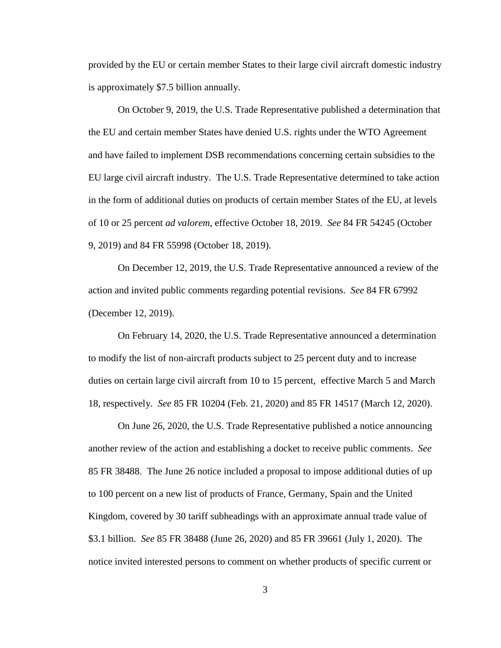provided by the EU or certain member States to their large civil aircraft domestic industry is approximately \$7.5 billion annually.

On October 9, 2019, the U.S. Trade Representative published a determination that the EU and certain member States have denied U.S. rights under the WTO Agreement and have failed to implement DSB recommendations concerning certain subsidies to the EU large civil aircraft industry. The U.S. Trade Representative determined to take action in the form of additional duties on products of certain member States of the EU, at levels of 10 or 25 percent *ad valorem*, effective October 18, 2019. *See* 84 FR 54245 (October 9, 2019) and 84 FR 55998 (October 18, 2019).

On December 12, 2019, the U.S. Trade Representative announced a review of the action and invited public comments regarding potential revisions. *See* 84 FR 67992 (December 12, 2019).

On February 14, 2020, the U.S. Trade Representative announced a determination to modify the list of non-aircraft products subject to 25 percent duty and to increase duties on certain large civil aircraft from 10 to 15 percent, effective March 5 and March 18, respectively. *See* 85 FR 10204 (Feb. 21, 2020) and 85 FR 14517 (March 12, 2020).

On June 26, 2020, the U.S. Trade Representative published a notice announcing another review of the action and establishing a docket to receive public comments. *See* 85 FR 38488. The June 26 notice included a proposal to impose additional duties of up to 100 percent on a new list of products of France, Germany, Spain and the United Kingdom, covered by 30 tariff subheadings with an approximate annual trade value of \$3.1 billion. *See* 85 FR 38488 (June 26, 2020) and 85 FR 39661 (July 1, 2020). The notice invited interested persons to comment on whether products of specific current or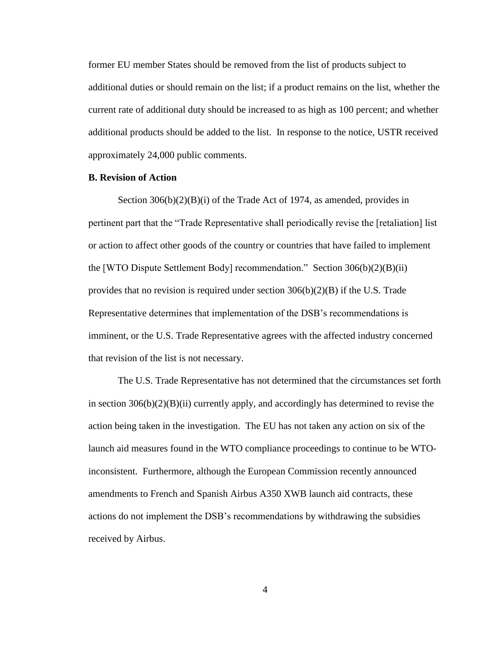former EU member States should be removed from the list of products subject to additional duties or should remain on the list; if a product remains on the list, whether the current rate of additional duty should be increased to as high as 100 percent; and whether additional products should be added to the list. In response to the notice, USTR received approximately 24,000 public comments.

## **B. Revision of Action**

Section 306(b)(2)(B)(i) of the Trade Act of 1974, as amended, provides in pertinent part that the "Trade Representative shall periodically revise the [retaliation] list or action to affect other goods of the country or countries that have failed to implement the [WTO Dispute Settlement Body] recommendation." Section 306(b)(2)(B)(ii) provides that no revision is required under section  $306(b)(2)(B)$  if the U.S. Trade Representative determines that implementation of the DSB's recommendations is imminent, or the U.S. Trade Representative agrees with the affected industry concerned that revision of the list is not necessary.

The U.S. Trade Representative has not determined that the circumstances set forth in section  $306(b)(2)(B)(ii)$  currently apply, and accordingly has determined to revise the action being taken in the investigation. The EU has not taken any action on six of the launch aid measures found in the WTO compliance proceedings to continue to be WTOinconsistent. Furthermore, although the European Commission recently announced amendments to French and Spanish Airbus A350 XWB launch aid contracts, these actions do not implement the DSB's recommendations by withdrawing the subsidies received by Airbus.

4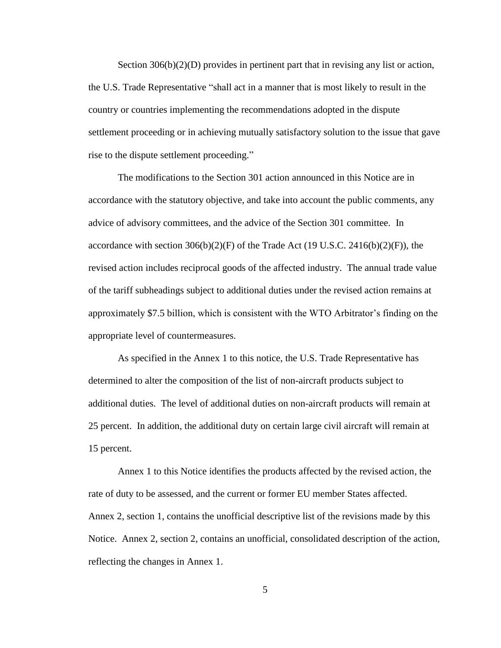Section 306(b)(2)(D) provides in pertinent part that in revising any list or action, the U.S. Trade Representative "shall act in a manner that is most likely to result in the country or countries implementing the recommendations adopted in the dispute settlement proceeding or in achieving mutually satisfactory solution to the issue that gave rise to the dispute settlement proceeding."

The modifications to the Section 301 action announced in this Notice are in accordance with the statutory objective, and take into account the public comments, any advice of advisory committees, and the advice of the Section 301 committee. In accordance with section  $306(b)(2)(F)$  of the Trade Act (19 U.S.C. 2416(b)(2)(F)), the revised action includes reciprocal goods of the affected industry. The annual trade value of the tariff subheadings subject to additional duties under the revised action remains at approximately \$7.5 billion, which is consistent with the WTO Arbitrator's finding on the appropriate level of countermeasures.

As specified in the Annex 1 to this notice, the U.S. Trade Representative has determined to alter the composition of the list of non-aircraft products subject to additional duties. The level of additional duties on non-aircraft products will remain at 25 percent. In addition, the additional duty on certain large civil aircraft will remain at 15 percent.

Annex 1 to this Notice identifies the products affected by the revised action, the rate of duty to be assessed, and the current or former EU member States affected. Annex 2, section 1, contains the unofficial descriptive list of the revisions made by this Notice. Annex 2, section 2, contains an unofficial, consolidated description of the action, reflecting the changes in Annex 1.

5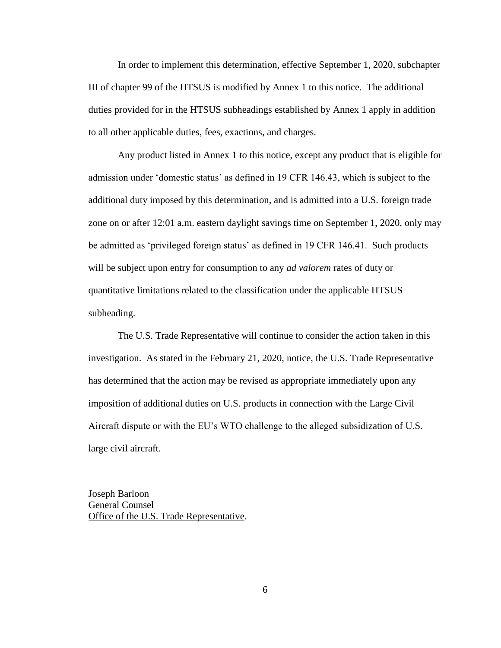In order to implement this determination, effective September 1, 2020, subchapter III of chapter 99 of the HTSUS is modified by Annex 1 to this notice. The additional duties provided for in the HTSUS subheadings established by Annex 1 apply in addition to all other applicable duties, fees, exactions, and charges.

Any product listed in Annex 1 to this notice, except any product that is eligible for admission under 'domestic status' as defined in 19 CFR 146.43, which is subject to the additional duty imposed by this determination, and is admitted into a U.S. foreign trade zone on or after 12:01 a.m. eastern daylight savings time on September 1, 2020, only may be admitted as 'privileged foreign status' as defined in 19 CFR 146.41. Such products will be subject upon entry for consumption to any *ad valorem* rates of duty or quantitative limitations related to the classification under the applicable HTSUS subheading.

The U.S. Trade Representative will continue to consider the action taken in this investigation. As stated in the February 21, 2020, notice, the U.S. Trade Representative has determined that the action may be revised as appropriate immediately upon any imposition of additional duties on U.S. products in connection with the Large Civil Aircraft dispute or with the EU's WTO challenge to the alleged subsidization of U.S. large civil aircraft.

Joseph Barloon General Counsel Office of the U.S. Trade Representative.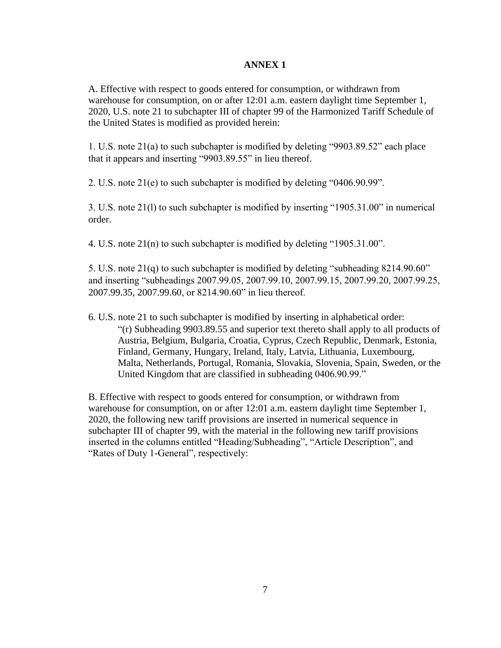# **ANNEX 1**

A. Effective with respect to goods entered for consumption, or withdrawn from warehouse for consumption, on or after 12:01 a.m. eastern daylight time September 1, 2020, U.S. note 21 to subchapter III of chapter 99 of the Harmonized Tariff Schedule of the United States is modified as provided herein:

1. U.S. note 21(a) to such subchapter is modified by deleting "9903.89.52" each place that it appears and inserting "9903.89.55" in lieu thereof.

2. U.S. note 21(e) to such subchapter is modified by deleting "0406.90.99".

3. U.S. note 21(l) to such subchapter is modified by inserting "1905.31.00" in numerical order.

4. U.S. note 21(n) to such subchapter is modified by deleting "1905.31.00".

5. U.S. note 21(q) to such subchapter is modified by deleting "subheading 8214.90.60" and inserting "subheadings 2007.99.05, 2007.99.10, 2007.99.15, 2007.99.20, 2007.99.25, 2007.99.35, 2007.99.60, or 8214.90.60" in lieu thereof.

6. U.S. note 21 to such subchapter is modified by inserting in alphabetical order: "(r) Subheading 9903.89.55 and superior text thereto shall apply to all products of Austria, Belgium, Bulgaria, Croatia, Cyprus, Czech Republic, Denmark, Estonia, Finland, Germany, Hungary, Ireland, Italy, Latvia, Lithuania, Luxembourg, Malta, Netherlands, Portugal, Romania, Slovakia, Slovenia, Spain, Sweden, or the United Kingdom that are classified in subheading 0406.90.99."

B. Effective with respect to goods entered for consumption, or withdrawn from warehouse for consumption, on or after 12:01 a.m. eastern daylight time September 1, 2020, the following new tariff provisions are inserted in numerical sequence in subchapter III of chapter 99, with the material in the following new tariff provisions inserted in the columns entitled "Heading/Subheading", "Article Description", and "Rates of Duty 1-General", respectively: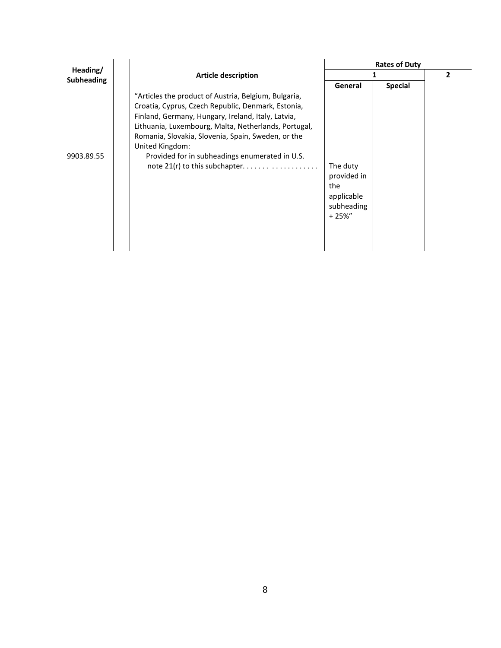|                   |                                                                                                                                                                                                                                                                                                                                                                                      | <b>Rates of Duty</b>                                                    |                |                |
|-------------------|--------------------------------------------------------------------------------------------------------------------------------------------------------------------------------------------------------------------------------------------------------------------------------------------------------------------------------------------------------------------------------------|-------------------------------------------------------------------------|----------------|----------------|
| Heading/          | <b>Article description</b>                                                                                                                                                                                                                                                                                                                                                           |                                                                         |                | $\overline{2}$ |
| <b>Subheading</b> |                                                                                                                                                                                                                                                                                                                                                                                      | General                                                                 | <b>Special</b> |                |
| 9903.89.55        | "Articles the product of Austria, Belgium, Bulgaria,<br>Croatia, Cyprus, Czech Republic, Denmark, Estonia,<br>Finland, Germany, Hungary, Ireland, Italy, Latvia,<br>Lithuania, Luxembourg, Malta, Netherlands, Portugal,<br>Romania, Slovakia, Slovenia, Spain, Sweden, or the<br>United Kingdom:<br>Provided for in subheadings enumerated in U.S.<br>note 21(r) to this subchapter | The duty<br>provided in<br>the<br>applicable<br>subheading<br>$+25\%$ " |                |                |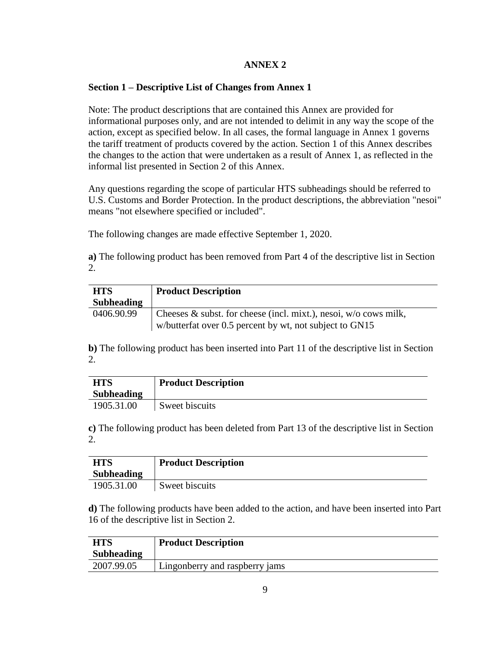# **ANNEX 2**

# **Section 1 – Descriptive List of Changes from Annex 1**

Note: The product descriptions that are contained this Annex are provided for informational purposes only, and are not intended to delimit in any way the scope of the action, except as specified below. In all cases, the formal language in Annex 1 governs the tariff treatment of products covered by the action. Section 1 of this Annex describes the changes to the action that were undertaken as a result of Annex 1, as reflected in the informal list presented in Section 2 of this Annex.

Any questions regarding the scope of particular HTS subheadings should be referred to U.S. Customs and Border Protection. In the product descriptions, the abbreviation "nesoi" means "not elsewhere specified or included".

The following changes are made effective September 1, 2020.

**a)** The following product has been removed from Part 4 of the descriptive list in Section 2.

| <b>HTS</b>        | <b>Product Description</b>                                                                                                     |
|-------------------|--------------------------------------------------------------------------------------------------------------------------------|
| <b>Subheading</b> |                                                                                                                                |
| 0406.90.99        | Cheeses $\&$ subst. for cheese (incl. mixt.), nesoi, w/o cows milk,<br>w/butterfat over 0.5 percent by wt, not subject to GN15 |

**b)** The following product has been inserted into Part 11 of the descriptive list in Section 2.

| <b>HTS</b>        | <b>Product Description</b> |
|-------------------|----------------------------|
| <b>Subheading</b> |                            |
| 1905.31.00        | Sweet biscuits             |

**c)** The following product has been deleted from Part 13 of the descriptive list in Section 2.

| <b>HTS</b>        | <b>Product Description</b> |
|-------------------|----------------------------|
| <b>Subheading</b> |                            |
| 1905.31.00        | Sweet biscuits             |

**d)** The following products have been added to the action, and have been inserted into Part 16 of the descriptive list in Section 2.

| <b>HTS</b>        | <b>Product Description</b>     |
|-------------------|--------------------------------|
| <b>Subheading</b> |                                |
| 2007.99.05        | Lingonberry and raspberry jams |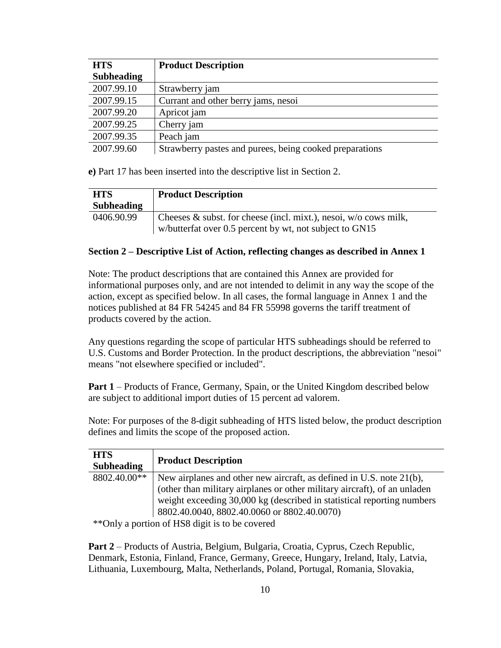| <b>HTS</b>        | <b>Product Description</b>                              |
|-------------------|---------------------------------------------------------|
| <b>Subheading</b> |                                                         |
| 2007.99.10        | Strawberry jam                                          |
| 2007.99.15        | Currant and other berry jams, nesoi                     |
| 2007.99.20        | Apricot jam                                             |
| 2007.99.25        | Cherry jam                                              |
| 2007.99.35        | Peach jam                                               |
| 2007.99.60        | Strawberry pastes and purees, being cooked preparations |

**e)** Part 17 has been inserted into the descriptive list in Section 2.

| <b>HTS</b>        | <b>Product Description</b>                                                                                                     |
|-------------------|--------------------------------------------------------------------------------------------------------------------------------|
| <b>Subheading</b> |                                                                                                                                |
| 0406.90.99        | Cheeses $\&$ subst. for cheese (incl. mixt.), nesoi, w/o cows milk,<br>w/butterfat over 0.5 percent by wt, not subject to GN15 |

# **Section 2 – Descriptive List of Action, reflecting changes as described in Annex 1**

Note: The product descriptions that are contained this Annex are provided for informational purposes only, and are not intended to delimit in any way the scope of the action, except as specified below. In all cases, the formal language in Annex 1 and the notices published at 84 FR 54245 and 84 FR 55998 governs the tariff treatment of products covered by the action.

Any questions regarding the scope of particular HTS subheadings should be referred to U.S. Customs and Border Protection. In the product descriptions, the abbreviation "nesoi" means "not elsewhere specified or included".

**Part 1** – Products of France, Germany, Spain, or the United Kingdom described below are subject to additional import duties of 15 percent ad valorem.

Note: For purposes of the 8-digit subheading of HTS listed below, the product description defines and limits the scope of the proposed action.

| <b>HTS</b><br><b>Subheading</b>   | <b>Product Description</b>                                                |
|-----------------------------------|---------------------------------------------------------------------------|
| 8802.40.00**                      | New airplanes and other new aircraft, as defined in U.S. note 21(b),      |
|                                   | (other than military airplanes or other military aircraft), of an unladen |
|                                   | weight exceeding 30,000 kg (described in statistical reporting numbers    |
|                                   | 8802.40.0040, 8802.40.0060 or 8802.40.0070)                               |
| $\psi \psi \cap 1$ (Fig ii iii) 1 |                                                                           |

\*\*Only a portion of HS8 digit is to be covered

**Part 2** – Products of Austria, Belgium, Bulgaria, Croatia, Cyprus, Czech Republic, Denmark, Estonia, Finland, France, Germany, Greece, Hungary, Ireland, Italy, Latvia, Lithuania, Luxembourg, Malta, Netherlands, Poland, Portugal, Romania, Slovakia,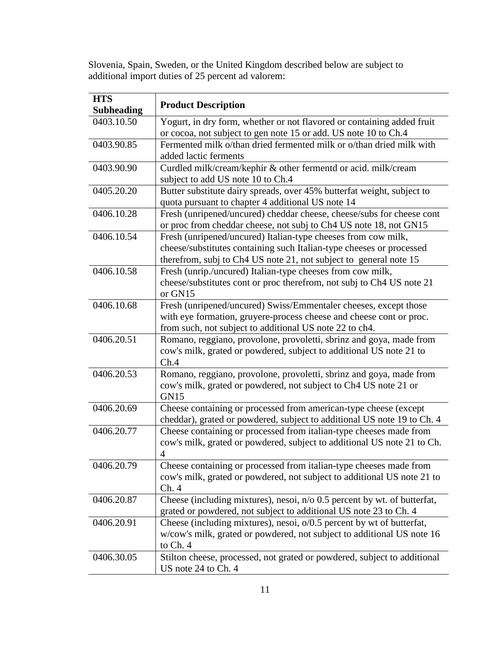Slovenia, Spain, Sweden, or the United Kingdom described below are subject to additional import duties of 25 percent ad valorem:

| <b>HTS</b><br><b>Subheading</b> | <b>Product Description</b>                                                                                                                                                                                 |
|---------------------------------|------------------------------------------------------------------------------------------------------------------------------------------------------------------------------------------------------------|
| 0403.10.50                      | Yogurt, in dry form, whether or not flavored or containing added fruit                                                                                                                                     |
|                                 | or cocoa, not subject to gen note 15 or add. US note 10 to Ch.4                                                                                                                                            |
| 0403.90.85                      | Fermented milk o/than dried fermented milk or o/than dried milk with<br>added lactic ferments                                                                                                              |
| 0403.90.90                      | Curdled milk/cream/kephir & other fermentd or acid. milk/cream<br>subject to add US note 10 to Ch.4                                                                                                        |
| 0405.20.20                      | Butter substitute dairy spreads, over 45% butterfat weight, subject to<br>quota pursuant to chapter 4 additional US note 14                                                                                |
| 0406.10.28                      | Fresh (unripened/uncured) cheddar cheese, cheese/subs for cheese cont<br>or proc from cheddar cheese, not subj to Ch4 US note 18, not GN15                                                                 |
| 0406.10.54                      | Fresh (unripened/uncured) Italian-type cheeses from cow milk,<br>cheese/substitutes containing such Italian-type cheeses or processed<br>therefrom, subj to Ch4 US note 21, not subject to general note 15 |
| 0406.10.58                      | Fresh (unrip./uncured) Italian-type cheeses from cow milk,<br>cheese/substitutes cont or proc therefrom, not subj to Ch4 US note 21<br>or GN15                                                             |
| 0406.10.68                      | Fresh (unripened/uncured) Swiss/Emmentaler cheeses, except those<br>with eye formation, gruyere-process cheese and cheese cont or proc.<br>from such, not subject to additional US note 22 to ch4.         |
| 0406.20.51                      | Romano, reggiano, provolone, provoletti, sbrinz and goya, made from<br>cow's milk, grated or powdered, subject to additional US note 21 to<br>Ch.4                                                         |
| 0406.20.53                      | Romano, reggiano, provolone, provoletti, sbrinz and goya, made from<br>cow's milk, grated or powdered, not subject to Ch4 US note 21 or<br>GN15                                                            |
| 0406.20.69                      | Cheese containing or processed from american-type cheese (except<br>cheddar), grated or powdered, subject to additional US note 19 to Ch. 4                                                                |
| 0406.20.77                      | Cheese containing or processed from italian-type cheeses made from<br>cow's milk, grated or powdered, subject to additional US note 21 to Ch.<br>4                                                         |
| 0406.20.79                      | Cheese containing or processed from italian-type cheeses made from<br>cow's milk, grated or powdered, not subject to additional US note 21 to<br>Ch.4                                                      |
| 0406.20.87                      | Cheese (including mixtures), nesoi, $n/0$ 0.5 percent by wt. of butterfat,<br>grated or powdered, not subject to additional US note 23 to Ch. 4                                                            |
| 0406.20.91                      | Cheese (including mixtures), nesoi, o/0.5 percent by wt of butterfat,<br>w/cow's milk, grated or powdered, not subject to additional US note 16<br>to Ch. 4                                                |
| 0406.30.05                      | Stilton cheese, processed, not grated or powdered, subject to additional<br>US note 24 to Ch. 4                                                                                                            |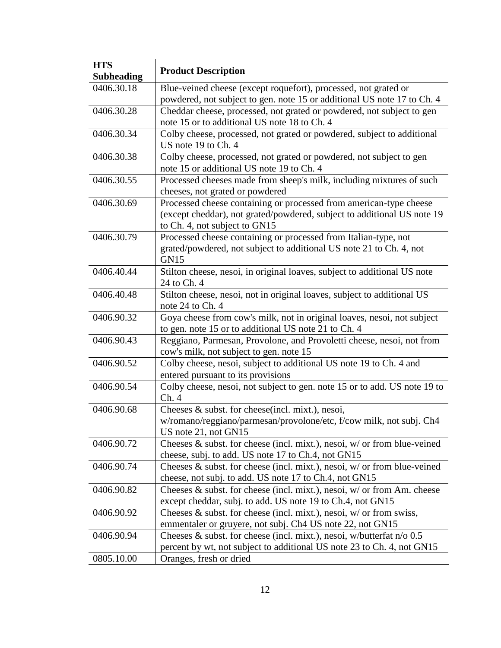| <b>HTS</b><br><b>Subheading</b> | <b>Product Description</b>                                                    |
|---------------------------------|-------------------------------------------------------------------------------|
| 0406.30.18                      | Blue-veined cheese (except roquefort), processed, not grated or               |
|                                 | powdered, not subject to gen. note 15 or additional US note 17 to Ch. 4       |
| 0406.30.28                      | Cheddar cheese, processed, not grated or powdered, not subject to gen         |
|                                 | note 15 or to additional US note 18 to Ch. 4                                  |
| 0406.30.34                      | Colby cheese, processed, not grated or powdered, subject to additional        |
|                                 | US note 19 to Ch. 4                                                           |
| 0406.30.38                      | Colby cheese, processed, not grated or powdered, not subject to gen           |
|                                 | note 15 or additional US note 19 to Ch. 4                                     |
| 0406.30.55                      | Processed cheeses made from sheep's milk, including mixtures of such          |
|                                 | cheeses, not grated or powdered                                               |
| 0406.30.69                      | Processed cheese containing or processed from american-type cheese            |
|                                 | (except cheddar), not grated/powdered, subject to additional US note 19       |
|                                 | to Ch. 4, not subject to GN15                                                 |
| 0406.30.79                      | Processed cheese containing or processed from Italian-type, not               |
|                                 | grated/powdered, not subject to additional US note 21 to Ch. 4, not           |
|                                 | GN <sub>15</sub>                                                              |
| 0406.40.44                      | Stilton cheese, nesoi, in original loaves, subject to additional US note      |
|                                 | 24 to Ch. 4                                                                   |
| 0406.40.48                      | Stilton cheese, nesoi, not in original loaves, subject to additional US       |
|                                 | note 24 to Ch. 4                                                              |
| 0406.90.32                      | Goya cheese from cow's milk, not in original loaves, nesoi, not subject       |
|                                 | to gen. note 15 or to additional US note 21 to Ch. 4                          |
| 0406.90.43                      | Reggiano, Parmesan, Provolone, and Provoletti cheese, nesoi, not from         |
|                                 | cow's milk, not subject to gen. note 15                                       |
| 0406.90.52                      | Colby cheese, nesoi, subject to additional US note 19 to Ch. 4 and            |
|                                 | entered pursuant to its provisions                                            |
| 0406.90.54                      | Colby cheese, nesoi, not subject to gen. note 15 or to add. US note 19 to     |
|                                 | Ch. 4                                                                         |
| 0406.90.68                      | Cheeses & subst. for cheese(incl. mixt.), nesoi,                              |
|                                 | w/romano/reggiano/parmesan/provolone/etc, f/cow milk, not subj. Ch4           |
|                                 | US note $21$ , not $GN15$                                                     |
| 0406.90.72                      | Cheeses & subst. for cheese (incl. mixt.), nesoi, w/ or from blue-veined      |
|                                 | cheese, subj. to add. US note 17 to Ch.4, not GN15                            |
| 0406.90.74                      | Cheeses $\&$ subst. for cheese (incl. mixt.), nesoi, $w/$ or from blue-veined |
|                                 | cheese, not subj. to add. US note 17 to Ch.4, not GN15                        |
| 0406.90.82                      | Cheeses & subst. for cheese (incl. mixt.), nesoi, w/ or from Am. cheese       |
|                                 | except cheddar, subj. to add. US note 19 to Ch.4, not GN15                    |
| 0406.90.92                      | Cheeses $\&$ subst. for cheese (incl. mixt.), nesoi, $w/$ or from swiss,      |
|                                 | emmentaler or gruyere, not subj. Ch4 US note 22, not GN15                     |
| 0406.90.94                      | Cheeses & subst. for cheese (incl. mixt.), nesoi, w/butterfat $n/0.5$         |
|                                 | percent by wt, not subject to additional US note 23 to Ch. 4, not GN15        |
| 0805.10.00                      | Oranges, fresh or dried                                                       |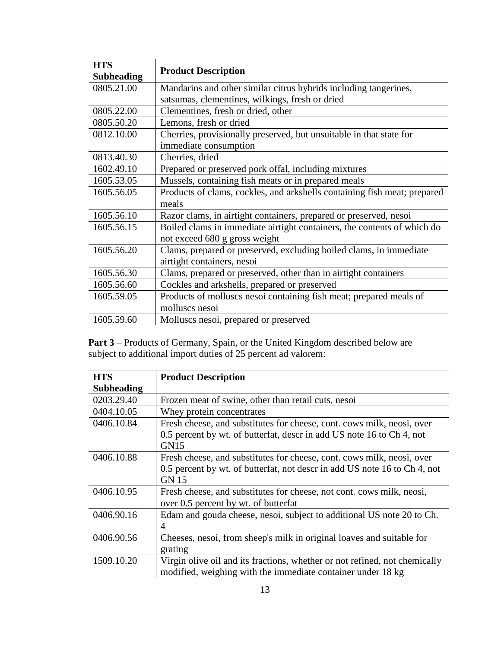| <b>HTS</b>        |                                                                          |
|-------------------|--------------------------------------------------------------------------|
| <b>Subheading</b> | <b>Product Description</b>                                               |
| 0805.21.00        | Mandarins and other similar citrus hybrids including tangerines,         |
|                   | satsumas, clementines, wilkings, fresh or dried                          |
| 0805.22.00        | Clementines, fresh or dried, other                                       |
| 0805.50.20        | Lemons, fresh or dried                                                   |
| 0812.10.00        | Cherries, provisionally preserved, but unsuitable in that state for      |
|                   | immediate consumption                                                    |
| 0813.40.30        | Cherries, dried                                                          |
| 1602.49.10        | Prepared or preserved pork offal, including mixtures                     |
| 1605.53.05        | Mussels, containing fish meats or in prepared meals                      |
| 1605.56.05        | Products of clams, cockles, and arkshells containing fish meat; prepared |
|                   | meals                                                                    |
| 1605.56.10        | Razor clams, in airtight containers, prepared or preserved, nesoi        |
| 1605.56.15        | Boiled clams in immediate airtight containers, the contents of which do  |
|                   | not exceed 680 g gross weight                                            |
| 1605.56.20        | Clams, prepared or preserved, excluding boiled clams, in immediate       |
|                   | airtight containers, nesoi                                               |
| 1605.56.30        | Clams, prepared or preserved, other than in airtight containers          |
| 1605.56.60        | Cockles and arkshells, prepared or preserved                             |
| 1605.59.05        | Products of molluscs nesoi containing fish meat; prepared meals of       |
|                   | molluscs nesoi                                                           |
| 1605.59.60        | Molluscs nesoi, prepared or preserved                                    |

Part 3 – Products of Germany, Spain, or the United Kingdom described below are subject to additional import duties of 25 percent ad valorem:

| <b>HTS</b>        | <b>Product Description</b>                                                 |
|-------------------|----------------------------------------------------------------------------|
| <b>Subheading</b> |                                                                            |
| 0203.29.40        | Frozen meat of swine, other than retail cuts, nesoi                        |
| 0404.10.05        | Whey protein concentrates                                                  |
| 0406.10.84        | Fresh cheese, and substitutes for cheese, cont. cows milk, neosi, over     |
|                   | 0.5 percent by wt. of butterfat, descr in add US note 16 to Ch 4, not      |
|                   | GN15                                                                       |
| 0406.10.88        | Fresh cheese, and substitutes for cheese, cont. cows milk, neosi, over     |
|                   | 0.5 percent by wt. of butterfat, not descr in add US note 16 to Ch 4, not  |
|                   | <b>GN 15</b>                                                               |
| 0406.10.95        | Fresh cheese, and substitutes for cheese, not cont. cows milk, neosi,      |
|                   | over 0.5 percent by wt. of butterfat                                       |
| 0406.90.16        | Edam and gouda cheese, nesoi, subject to additional US note 20 to Ch.      |
|                   | 4                                                                          |
| 0406.90.56        | Cheeses, nesoi, from sheep's milk in original loaves and suitable for      |
|                   | grating                                                                    |
| 1509.10.20        | Virgin olive oil and its fractions, whether or not refined, not chemically |
|                   | modified, weighing with the immediate container under 18 kg                |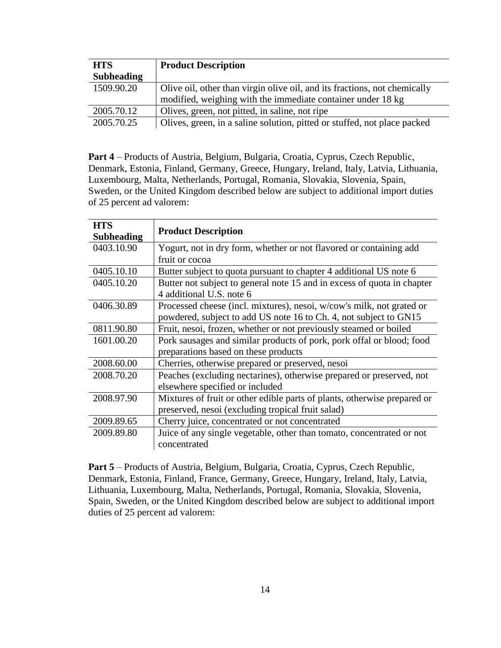| <b>HTS</b>        | <b>Product Description</b>                                                |
|-------------------|---------------------------------------------------------------------------|
| <b>Subheading</b> |                                                                           |
| 1509.90.20        | Olive oil, other than virgin olive oil, and its fractions, not chemically |
|                   | modified, weighing with the immediate container under 18 kg               |
| 2005.70.12        | Olives, green, not pitted, in saline, not ripe                            |
| 2005.70.25        | Olives, green, in a saline solution, pitted or stuffed, not place packed  |

**Part 4** – Products of Austria, Belgium, Bulgaria, Croatia, Cyprus, Czech Republic, Denmark, Estonia, Finland, Germany, Greece, Hungary, Ireland, Italy, Latvia, Lithuania, Luxembourg, Malta, Netherlands, Portugal, Romania, Slovakia, Slovenia, Spain, Sweden, or the United Kingdom described below are subject to additional import duties of 25 percent ad valorem:

| <b>HTS</b><br><b>Subheading</b> | <b>Product Description</b>                                                            |
|---------------------------------|---------------------------------------------------------------------------------------|
| 0403.10.90                      | Yogurt, not in dry form, whether or not flavored or containing add                    |
|                                 | fruit or cocoa                                                                        |
| 0405.10.10                      | Butter subject to quota pursuant to chapter 4 additional US note 6                    |
| 0405.10.20                      | Butter not subject to general note 15 and in excess of quota in chapter               |
|                                 | 4 additional U.S. note 6                                                              |
| 0406.30.89                      | Processed cheese (incl. mixtures), nesoi, w/cow's milk, not grated or                 |
|                                 | powdered, subject to add US note 16 to Ch. 4, not subject to GN15                     |
| 0811.90.80                      | Fruit, nesoi, frozen, whether or not previously steamed or boiled                     |
| 1601.00.20                      | Pork sausages and similar products of pork, pork offal or blood; food                 |
|                                 | preparations based on these products                                                  |
| 2008.60.00                      | Cherries, otherwise prepared or preserved, nesoi                                      |
| 2008.70.20                      | Peaches (excluding nectarines), otherwise prepared or preserved, not                  |
|                                 | elsewhere specified or included                                                       |
| 2008.97.90                      | Mixtures of fruit or other edible parts of plants, otherwise prepared or              |
|                                 | preserved, nesoi (excluding tropical fruit salad)                                     |
| 2009.89.65                      | Cherry juice, concentrated or not concentrated                                        |
| 2009.89.80                      | Juice of any single vegetable, other than tomato, concentrated or not<br>concentrated |

**Part 5** – Products of Austria, Belgium, Bulgaria, Croatia, Cyprus, Czech Republic, Denmark, Estonia, Finland, France, Germany, Greece, Hungary, Ireland, Italy, Latvia, Lithuania, Luxembourg, Malta, Netherlands, Portugal, Romania, Slovakia, Slovenia, Spain, Sweden, or the United Kingdom described below are subject to additional import duties of 25 percent ad valorem: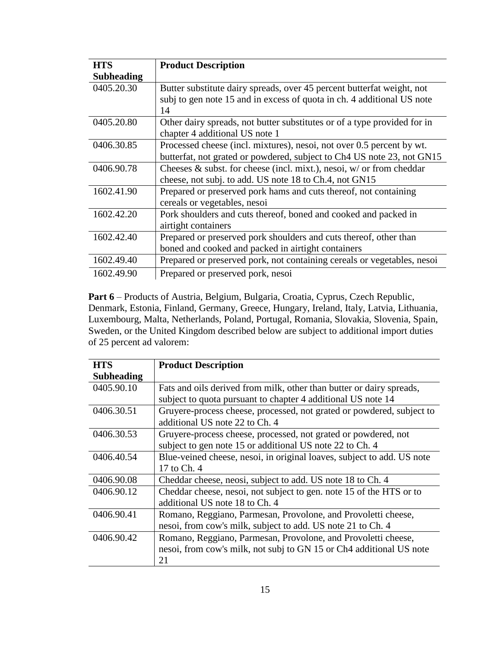| <b>HTS</b>        | <b>Product Description</b>                                               |
|-------------------|--------------------------------------------------------------------------|
| <b>Subheading</b> |                                                                          |
| 0405.20.30        | Butter substitute dairy spreads, over 45 percent butterfat weight, not   |
|                   | subj to gen note 15 and in excess of quota in ch. 4 additional US note   |
|                   | 14                                                                       |
| 0405.20.80        | Other dairy spreads, not butter substitutes or of a type provided for in |
|                   | chapter 4 additional US note 1                                           |
| 0406.30.85        | Processed cheese (incl. mixtures), nesoi, not over 0.5 percent by wt.    |
|                   | butterfat, not grated or powdered, subject to Ch4 US note 23, not GN15   |
| 0406.90.78        | Cheeses & subst. for cheese (incl. mixt.), nesoi, $w/$ or from cheddar   |
|                   | cheese, not subj. to add. US note 18 to Ch.4, not GN15                   |
| 1602.41.90        | Prepared or preserved pork hams and cuts thereof, not containing         |
|                   | cereals or vegetables, nesoi                                             |
| 1602.42.20        | Pork shoulders and cuts thereof, boned and cooked and packed in          |
|                   | airtight containers                                                      |
| 1602.42.40        | Prepared or preserved pork shoulders and cuts thereof, other than        |
|                   | boned and cooked and packed in airtight containers                       |
| 1602.49.40        | Prepared or preserved pork, not containing cereals or vegetables, nesoi  |
| 1602.49.90        | Prepared or preserved pork, nesoi                                        |

Part 6 – Products of Austria, Belgium, Bulgaria, Croatia, Cyprus, Czech Republic, Denmark, Estonia, Finland, Germany, Greece, Hungary, Ireland, Italy, Latvia, Lithuania, Luxembourg, Malta, Netherlands, Poland, Portugal, Romania, Slovakia, Slovenia, Spain, Sweden, or the United Kingdom described below are subject to additional import duties of 25 percent ad valorem:

| <b>HTS</b>        | <b>Product Description</b>                                             |
|-------------------|------------------------------------------------------------------------|
| <b>Subheading</b> |                                                                        |
| 0405.90.10        | Fats and oils derived from milk, other than butter or dairy spreads,   |
|                   | subject to quota pursuant to chapter 4 additional US note 14           |
| 0406.30.51        | Gruyere-process cheese, processed, not grated or powdered, subject to  |
|                   | additional US note 22 to Ch. 4                                         |
| 0406.30.53        | Gruyere-process cheese, processed, not grated or powdered, not         |
|                   | subject to gen note 15 or additional US note 22 to Ch. 4               |
| 0406.40.54        | Blue-veined cheese, nesoi, in original loaves, subject to add. US note |
|                   | 17 to Ch. 4                                                            |
| 0406.90.08        | Cheddar cheese, neosi, subject to add. US note 18 to Ch. 4             |
| 0406.90.12        | Cheddar cheese, nesoi, not subject to gen. note 15 of the HTS or to    |
|                   | additional US note 18 to Ch. 4                                         |
| 0406.90.41        | Romano, Reggiano, Parmesan, Provolone, and Provoletti cheese,          |
|                   | nesoi, from cow's milk, subject to add. US note 21 to Ch. 4            |
| 0406.90.42        | Romano, Reggiano, Parmesan, Provolone, and Provoletti cheese,          |
|                   | nesoi, from cow's milk, not subj to GN 15 or Ch4 additional US note    |
|                   | 21                                                                     |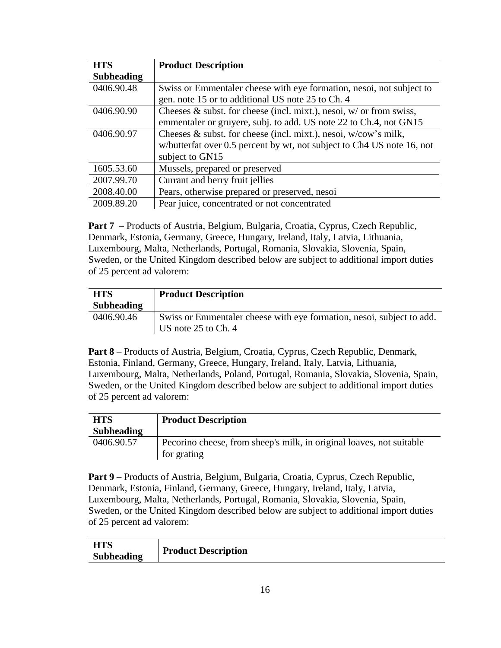| <b>HTS</b>        | <b>Product Description</b>                                             |
|-------------------|------------------------------------------------------------------------|
| <b>Subheading</b> |                                                                        |
| 0406.90.48        | Swiss or Emmentaler cheese with eye formation, nesoi, not subject to   |
|                   | gen. note 15 or to additional US note 25 to Ch. 4                      |
| 0406.90.90        | Cheeses $\&$ subst. for cheese (incl. mixt.), nesoi, w/ or from swiss, |
|                   | emmentaler or gruyere, subj. to add. US note 22 to Ch.4, not GN15      |
| 0406.90.97        | Cheeses $\&$ subst. for cheese (incl. mixt.), nesoi, w/cow's milk,     |
|                   | w/butterfat over 0.5 percent by wt, not subject to Ch4 US note 16, not |
|                   | subject to GN15                                                        |
| 1605.53.60        | Mussels, prepared or preserved                                         |
| 2007.99.70        | Currant and berry fruit jellies                                        |
| 2008.40.00        | Pears, otherwise prepared or preserved, nesoi                          |
| 2009.89.20        | Pear juice, concentrated or not concentrated                           |

**Part 7** – Products of Austria, Belgium, Bulgaria, Croatia, Cyprus, Czech Republic, Denmark, Estonia, Germany, Greece, Hungary, Ireland, Italy, Latvia, Lithuania, Luxembourg, Malta, Netherlands, Portugal, Romania, Slovakia, Slovenia, Spain, Sweden, or the United Kingdom described below are subject to additional import duties of 25 percent ad valorem:

| <b>HTS</b>        | <b>Product Description</b>                                            |
|-------------------|-----------------------------------------------------------------------|
| <b>Subheading</b> |                                                                       |
| 0406.90.46        | Swiss or Emmentaler cheese with eye formation, nesoi, subject to add. |
|                   | US note 25 to Ch. 4                                                   |

**Part 8** – Products of Austria, Belgium, Croatia, Cyprus, Czech Republic, Denmark, Estonia, Finland, Germany, Greece, Hungary, Ireland, Italy, Latvia, Lithuania, Luxembourg, Malta, Netherlands, Poland, Portugal, Romania, Slovakia, Slovenia, Spain, Sweden, or the United Kingdom described below are subject to additional import duties of 25 percent ad valorem:

| <b>HTS</b>        | <b>Product Description</b>                                                          |
|-------------------|-------------------------------------------------------------------------------------|
| <b>Subheading</b> |                                                                                     |
| 0406.90.57        | Pecorino cheese, from sheep's milk, in original loaves, not suitable<br>for grating |

**Part 9** – Products of Austria, Belgium, Bulgaria, Croatia, Cyprus, Czech Republic, Denmark, Estonia, Finland, Germany, Greece, Hungary, Ireland, Italy, Latvia, Luxembourg, Malta, Netherlands, Portugal, Romania, Slovakia, Slovenia, Spain, Sweden, or the United Kingdom described below are subject to additional import duties of 25 percent ad valorem:

| <b>HTS</b>        |                            |
|-------------------|----------------------------|
| <b>Subheading</b> | <b>Product Description</b> |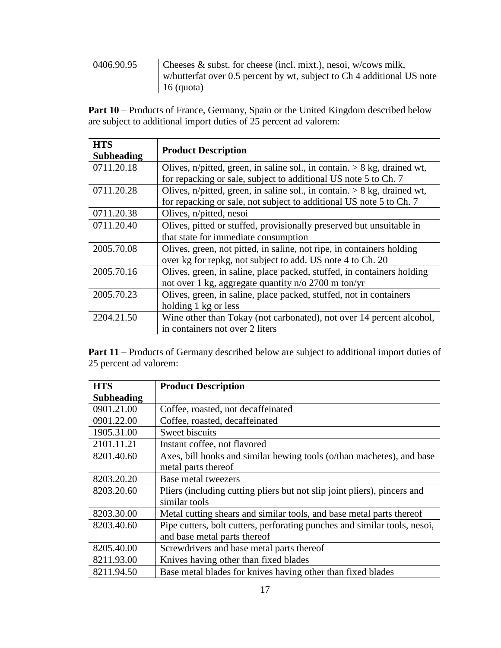0406.90.95 Cheeses & subst. for cheese (incl. mixt.), nesoi, w/cows milk, w/butterfat over 0.5 percent by wt, subject to Ch 4 additional US note 16 (quota)

Part 10 – Products of France, Germany, Spain or the United Kingdom described below are subject to additional import duties of 25 percent ad valorem:

| <b>HTS</b>        |                                                                            |
|-------------------|----------------------------------------------------------------------------|
| <b>Subheading</b> | <b>Product Description</b>                                                 |
| 0711.20.18        | Olives, n/pitted, green, in saline sol., in contain. $> 8$ kg, drained wt, |
|                   | for repacking or sale, subject to additional US note 5 to Ch. 7            |
| 0711.20.28        | Olives, n/pitted, green, in saline sol., in contain. $> 8$ kg, drained wt, |
|                   | for repacking or sale, not subject to additional US note 5 to Ch. 7        |
| 0711.20.38        | Olives, n/pitted, nesoi                                                    |
| 0711.20.40        | Olives, pitted or stuffed, provisionally preserved but unsuitable in       |
|                   | that state for immediate consumption                                       |
| 2005.70.08        | Olives, green, not pitted, in saline, not ripe, in containers holding      |
|                   | over kg for repkg, not subject to add. US note 4 to Ch. 20                 |
| 2005.70.16        | Olives, green, in saline, place packed, stuffed, in containers holding     |
|                   | not over 1 kg, aggregate quantity n/o 2700 m ton/yr                        |
| 2005.70.23        | Olives, green, in saline, place packed, stuffed, not in containers         |
|                   | holding 1 kg or less                                                       |
| 2204.21.50        | Wine other than Tokay (not carbonated), not over 14 percent alcohol,       |
|                   | in containers not over 2 liters                                            |

**Part 11** – Products of Germany described below are subject to additional import duties of 25 percent ad valorem:

| <b>HTS</b>        | <b>Product Description</b>                                                |
|-------------------|---------------------------------------------------------------------------|
| <b>Subheading</b> |                                                                           |
| 0901.21.00        | Coffee, roasted, not decaffeinated                                        |
| 0901.22.00        | Coffee, roasted, decaffeinated                                            |
| 1905.31.00        | Sweet biscuits                                                            |
| 2101.11.21        | Instant coffee, not flavored                                              |
| 8201.40.60        | Axes, bill hooks and similar hewing tools (o/than machetes), and base     |
|                   | metal parts thereof                                                       |
| 8203.20.20        | Base metal tweezers                                                       |
| 8203.20.60        | Pliers (including cutting pliers but not slip joint pliers), pincers and  |
|                   | similar tools                                                             |
| 8203.30.00        | Metal cutting shears and similar tools, and base metal parts thereof      |
| 8203.40.60        | Pipe cutters, bolt cutters, perforating punches and similar tools, nesoi, |
|                   | and base metal parts thereof                                              |
| 8205.40.00        | Screwdrivers and base metal parts thereof                                 |
| 8211.93.00        | Knives having other than fixed blades                                     |
| 8211.94.50        | Base metal blades for knives having other than fixed blades               |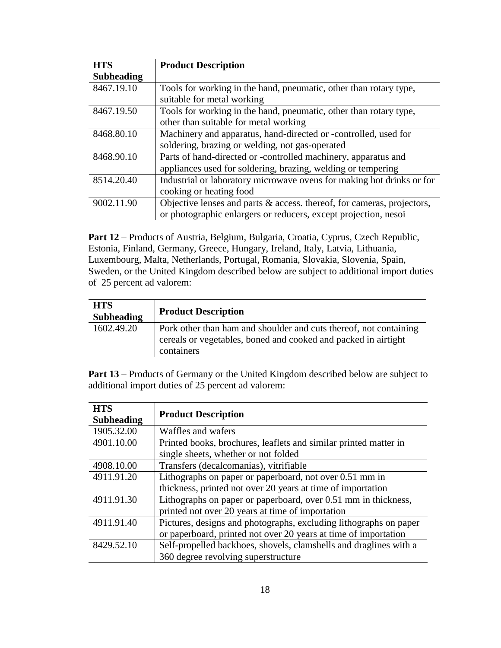| <b>HTS</b>        | <b>Product Description</b>                                             |
|-------------------|------------------------------------------------------------------------|
| <b>Subheading</b> |                                                                        |
| 8467.19.10        | Tools for working in the hand, pneumatic, other than rotary type,      |
|                   | suitable for metal working                                             |
| 8467.19.50        | Tools for working in the hand, pneumatic, other than rotary type,      |
|                   | other than suitable for metal working                                  |
| 8468.80.10        | Machinery and apparatus, hand-directed or -controlled, used for        |
|                   | soldering, brazing or welding, not gas-operated                        |
| 8468.90.10        | Parts of hand-directed or -controlled machinery, apparatus and         |
|                   | appliances used for soldering, brazing, welding or tempering           |
| 8514.20.40        | Industrial or laboratory microwave ovens for making hot drinks or for  |
|                   | cooking or heating food                                                |
| 9002.11.90        | Objective lenses and parts & access. thereof, for cameras, projectors, |
|                   | or photographic enlargers or reducers, except projection, nesoi        |

**Part 12** – Products of Austria, Belgium, Bulgaria, Croatia, Cyprus, Czech Republic, Estonia, Finland, Germany, Greece, Hungary, Ireland, Italy, Latvia, Lithuania, Luxembourg, Malta, Netherlands, Portugal, Romania, Slovakia, Slovenia, Spain, Sweden, or the United Kingdom described below are subject to additional import duties of 25 percent ad valorem:

| <b>HTS</b><br><b>Subheading</b> | <b>Product Description</b>                                                                                                                        |
|---------------------------------|---------------------------------------------------------------------------------------------------------------------------------------------------|
| 1602.49.20                      | Pork other than ham and shoulder and cuts thereof, not containing<br>cereals or vegetables, boned and cooked and packed in airtight<br>containers |

**Part 13** – Products of Germany or the United Kingdom described below are subject to additional import duties of 25 percent ad valorem:

| <b>HTS</b><br><b>Subheading</b> | <b>Product Description</b>                                        |
|---------------------------------|-------------------------------------------------------------------|
| 1905.32.00                      | Waffles and wafers                                                |
| 4901.10.00                      | Printed books, brochures, leaflets and similar printed matter in  |
|                                 | single sheets, whether or not folded                              |
| 4908.10.00                      | Transfers (decalcomanias), vitrifiable                            |
| 4911.91.20                      | Lithographs on paper or paperboard, not over 0.51 mm in           |
|                                 | thickness, printed not over 20 years at time of importation       |
| 4911.91.30                      | Lithographs on paper or paperboard, over 0.51 mm in thickness,    |
|                                 | printed not over 20 years at time of importation                  |
| 4911.91.40                      | Pictures, designs and photographs, excluding lithographs on paper |
|                                 | or paperboard, printed not over 20 years at time of importation   |
| 8429.52.10                      | Self-propelled backhoes, shovels, clamshells and draglines with a |
|                                 | 360 degree revolving superstructure                               |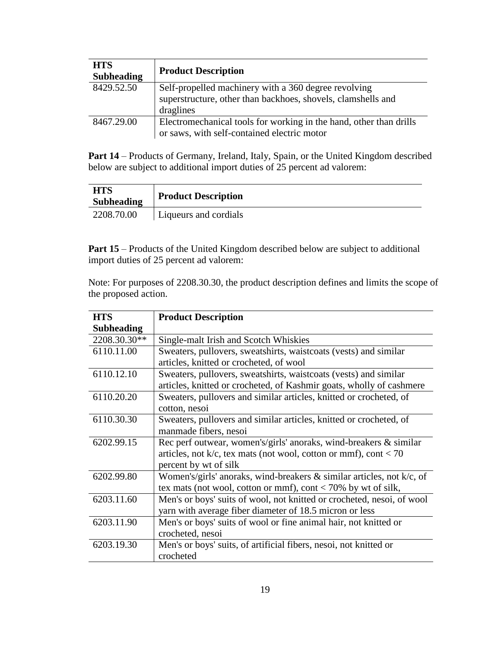| <b>HTS</b><br><b>Subheading</b> | <b>Product Description</b>                                                                                           |
|---------------------------------|----------------------------------------------------------------------------------------------------------------------|
| 8429.52.50                      | Self-propelled machinery with a 360 degree revolving<br>superstructure, other than backhoes, shovels, clamshells and |
|                                 |                                                                                                                      |
|                                 | draglines                                                                                                            |
| 8467.29.00                      | Electromechanical tools for working in the hand, other than drills                                                   |
|                                 | or saws, with self-contained electric motor                                                                          |

**Part 14** – Products of Germany, Ireland, Italy, Spain, or the United Kingdom described below are subject to additional import duties of 25 percent ad valorem:

| <b>HTS</b><br><b>Subheading</b> | <b>Product Description</b> |
|---------------------------------|----------------------------|
| 2208.70.00                      | Liqueurs and cordials      |

**Part 15** – Products of the United Kingdom described below are subject to additional import duties of 25 percent ad valorem:

Note: For purposes of 2208.30.30, the product description defines and limits the scope of the proposed action.

| <b>HTS</b>        | <b>Product Description</b>                                               |
|-------------------|--------------------------------------------------------------------------|
| <b>Subheading</b> |                                                                          |
| 2208.30.30**      | Single-malt Irish and Scotch Whiskies                                    |
| 6110.11.00        | Sweaters, pullovers, sweatshirts, waistcoats (vests) and similar         |
|                   | articles, knitted or crocheted, of wool                                  |
| 6110.12.10        | Sweaters, pullovers, sweatshirts, waistcoats (vests) and similar         |
|                   | articles, knitted or crocheted, of Kashmir goats, wholly of cashmere     |
| 6110.20.20        | Sweaters, pullovers and similar articles, knitted or crocheted, of       |
|                   | cotton, nesoi                                                            |
| 6110.30.30        | Sweaters, pullovers and similar articles, knitted or crocheted, of       |
|                   | manmade fibers, nesoi                                                    |
| 6202.99.15        | Rec perf outwear, women's/girls' anoraks, wind-breakers $\&$ similar     |
|                   | articles, not $k/c$ , tex mats (not wool, cotton or mmf), cont < 70      |
|                   | percent by wt of silk                                                    |
| 6202.99.80        | Women's/girls' anoraks, wind-breakers $\&$ similar articles, not k/c, of |
|                   | tex mats (not wool, cotton or mmf), cont < 70% by wt of silk,            |
| 6203.11.60        | Men's or boys' suits of wool, not knitted or crocheted, nesoi, of wool   |
|                   | yarn with average fiber diameter of 18.5 micron or less                  |
| 6203.11.90        | Men's or boys' suits of wool or fine animal hair, not knitted or         |
|                   | crocheted, nesoi                                                         |
| 6203.19.30        | Men's or boys' suits, of artificial fibers, nesoi, not knitted or        |
|                   | crocheted                                                                |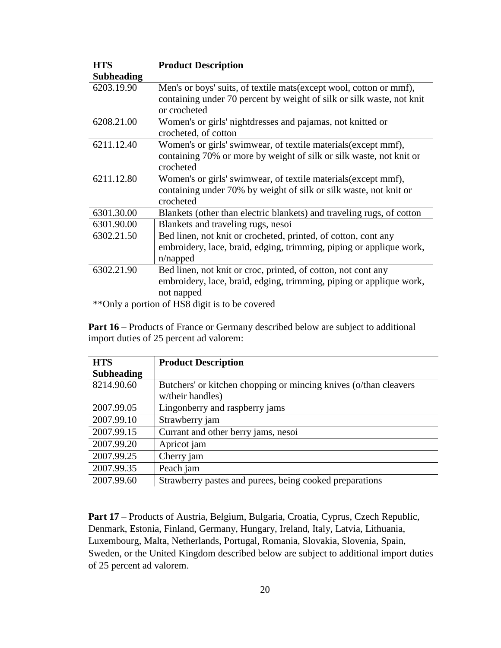| <b>HTS</b>        | <b>Product Description</b>                                                                                                                                   |  |
|-------------------|--------------------------------------------------------------------------------------------------------------------------------------------------------------|--|
| <b>Subheading</b> |                                                                                                                                                              |  |
| 6203.19.90        | Men's or boys' suits, of textile mats (except wool, cotton or mmf),<br>containing under 70 percent by weight of silk or silk waste, not knit<br>or crocheted |  |
| 6208.21.00        | Women's or girls' nightdresses and pajamas, not knitted or<br>crocheted, of cotton                                                                           |  |
| 6211.12.40        | Women's or girls' swimwear, of textile materials(except mmf),<br>containing 70% or more by weight of silk or silk waste, not knit or<br>crocheted            |  |
| 6211.12.80        | Women's or girls' swimwear, of textile materials (except mmf),<br>containing under 70% by weight of silk or silk waste, not knit or<br>crocheted             |  |
| 6301.30.00        | Blankets (other than electric blankets) and traveling rugs, of cotton                                                                                        |  |
| 6301.90.00        | Blankets and traveling rugs, nesoi                                                                                                                           |  |
| 6302.21.50        | Bed linen, not knit or crocheted, printed, of cotton, cont any<br>embroidery, lace, braid, edging, trimming, piping or applique work,<br>n/napped            |  |
| 6302.21.90        | Bed linen, not knit or croc, printed, of cotton, not cont any                                                                                                |  |
|                   | embroidery, lace, braid, edging, trimming, piping or applique work,<br>not napped                                                                            |  |
|                   | $**$ Only a partian of HCO digit is to be equated                                                                                                            |  |

Only a portion of HS8 digit is to be covered

**Part 16** – Products of France or Germany described below are subject to additional import duties of 25 percent ad valorem:

| <b>HTS</b>        | <b>Product Description</b>                                       |
|-------------------|------------------------------------------------------------------|
| <b>Subheading</b> |                                                                  |
| 8214.90.60        | Butchers' or kitchen chopping or mincing knives (o/than cleavers |
|                   | w/their handles)                                                 |
| 2007.99.05        | Lingonberry and raspberry jams                                   |
| 2007.99.10        | Strawberry jam                                                   |
| 2007.99.15        | Currant and other berry jams, nesoi                              |
| 2007.99.20        | Apricot jam                                                      |
| 2007.99.25        | Cherry jam                                                       |
| 2007.99.35        | Peach jam                                                        |
| 2007.99.60        | Strawberry pastes and purees, being cooked preparations          |

Part 17 – Products of Austria, Belgium, Bulgaria, Croatia, Cyprus, Czech Republic, Denmark, Estonia, Finland, Germany, Hungary, Ireland, Italy, Latvia, Lithuania, Luxembourg, Malta, Netherlands, Portugal, Romania, Slovakia, Slovenia, Spain, Sweden, or the United Kingdom described below are subject to additional import duties of 25 percent ad valorem.